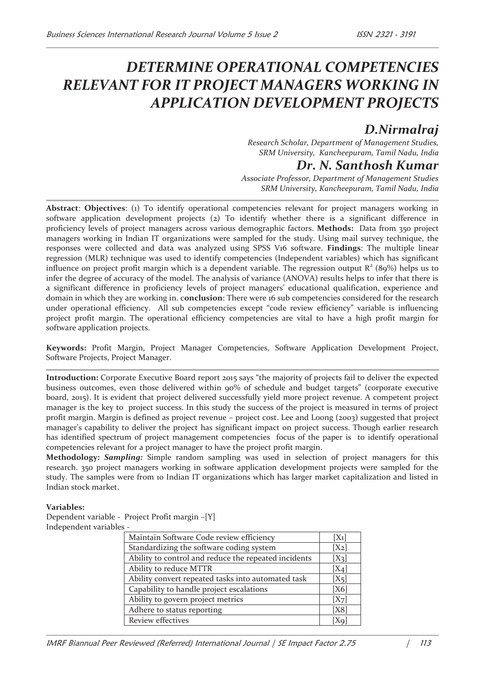# *DETERMINE OPERATIONAL COMPETENCIES RELEVANT FOR IT PROJECT MANAGERS WORKING IN APPLICATION DEVELOPMENT PROJECTS*

## *D.Nirmalraj*

*Research Scholar, Department of Management Studies, SRM University, Kancheepuram, Tamil Nadu, India* 

## *Dr. N. Santhosh Kumar*

*Associate Professor, Department of Management Studies SRM University, Kancheepuram, Tamil Nadu, India* 

**Abstract**: **Objectives**: (1) To identify operational competencies relevant for project managers working in software application development projects (2) To identify whether there is a significant difference in proficiency levels of project managers across various demographic factors. **Methods:** Data from 350 project managers working in Indian IT organizations were sampled for the study. Using mail survey technique, the responses were collected and data was analyzed using SPSS V16 software. **Findings**: The multiple linear regression (MLR) technique was used to identify competencies (Independent variables) which has significant influence on project profit margin which is a dependent variable. The regression output  $R^2$  (89%) helps us to infer the degree of accuracy of the model. The analysis of variance (ANOVA) results helps to infer that there is a significant difference in proficiency levels of project managers' educational qualification, experience and domain in which they are working in. c**onclusion**: There were 16 sub competencies considered for the research under operational efficiency. All sub competencies except "code review efficiency" variable is influencing project profit margin. The operational efficiency competencies are vital to have a high profit margin for software application projects.

**Keywords:** Profit Margin, Project Manager Competencies, Software Application Development Project, Software Projects, Project Manager.

**Introduction:** Corporate Executive Board report 2015 says "the majority of projects fail to deliver the expected business outcomes, even those delivered within 90% of schedule and budget targets" (corporate executive board, 2015). It is evident that project delivered successfully yield more project revenue. A competent project manager is the key to project success. In this study the success of the project is measured in terms of project profit margin. Margin is defined as project revenue – project cost. Lee and Loong (2003) suggested that project manager's capability to deliver the project has significant impact on project success. Though earlier research has identified spectrum of project management competencies focus of the paper is to identify operational competencies relevant for a project manager to have the project profit margin.

**Methodology:** *Sampling:* Simple random sampling was used in selection of project managers for this research. 350 project managers working in software application development projects were sampled for the study. The samples were from 10 Indian IT organizations which has larger market capitalization and listed in Indian stock market.

## **Variables:**

Dependent variable - Project Profit margin –[Y] Independent variables -

| Maintain Software Code review efficiency             | $[X_1]$           |
|------------------------------------------------------|-------------------|
| Standardizing the software coding system             | $[X_2]$           |
| Ability to control and reduce the repeated incidents | $[X_3]$           |
| Ability to reduce MTTR                               | $[X_4]$           |
| Ability convert repeated tasks into automated task   | $[X_5]$           |
| Capability to handle project escalations             | [X6]              |
| Ability to govern project metrics                    | [X <sub>7</sub> ] |
| Adhere to status reporting                           | [X8]              |
| Review effectives                                    | IXq               |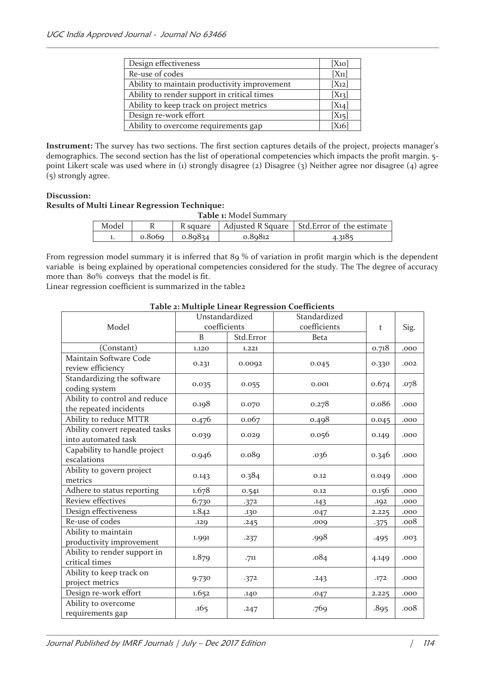| Design effectiveness                         | [X <sub>10</sub> ] |
|----------------------------------------------|--------------------|
| Re-use of codes                              | $[X_{11}]$         |
| Ability to maintain productivity improvement | $[X_{12}]$         |
| Ability to render support in critical times  | $[X_{13}]$         |
| Ability to keep track on project metrics     | $[X_{14}]$         |
| Design re-work effort                        | $[X_{15}]$         |
| Ability to overcome requirements gap         | $[X_16]$           |

**Instrument:** The survey has two sections. The first section captures details of the project, projects manager's demographics. The second section has the list of operational competencies which impacts the profit margin. 5 point Likert scale was used where in (1) strongly disagree (2) Disagree (3) Neither agree nor disagree (4) agree (5) strongly agree.

## **Discussion: Results of Multi Linear Regression Technique:**

| <b>Table 1: Model Summary</b> |        |         |         |                                                           |  |  |
|-------------------------------|--------|---------|---------|-----------------------------------------------------------|--|--|
| Model                         |        |         |         | R square   Adjusted R Square   Std. Error of the estimate |  |  |
|                               | 0.8069 | 0.89834 | 0.89812 | 4.3185                                                    |  |  |

From regression model summary it is inferred that 89 % of variation in profit margin which is the dependent variable is being explained by operational competencies considered for the study. The The degree of accuracy more than 80% conveys that the model is fit.

Linear regression coefficient is summarized in the table2

|                                | abic 2. manipic mncar negression eocumenta<br>Unstandardized |           | Standardized |        |      |
|--------------------------------|--------------------------------------------------------------|-----------|--------------|--------|------|
| Model                          | coefficients                                                 |           | coefficients | t      | Sig. |
|                                | <sub>B</sub>                                                 | Std.Error | <b>Beta</b>  |        |      |
| (Constant)                     | 1.120                                                        | 1.221     |              | 0.718  | .000 |
| Maintain Software Code         |                                                              |           |              |        |      |
| review efficiency              | 0.231                                                        | 0.0092    | 0.045        | 0.330  | .002 |
| Standardizing the software     |                                                              |           |              | 0.674  |      |
| coding system                  | 0.035                                                        | 0.055     | 0.001        |        | .078 |
| Ability to control and reduce  |                                                              |           |              | 0.086  |      |
| the repeated incidents         | 0.198                                                        | 0.070     | 0.278        |        | .000 |
| Ability to reduce MTTR         | 0.476                                                        | 0.067     | 0.498        | 0.045  | .000 |
| Ability convert repeated tasks |                                                              |           |              |        |      |
| into automated task            | 0.039                                                        | 0.029     | 0.056        | 0.149  | .000 |
| Capability to handle project   |                                                              |           |              |        |      |
| escalations                    | 0.946                                                        | 0.089     | .036         | 0.346  | .000 |
| Ability to govern project      |                                                              |           |              |        |      |
| metrics                        | 0.143                                                        | 0.384     | 0.12         | 0.049  | .000 |
| Adhere to status reporting     | 1.678                                                        | 0.541     | 0.12         | 0.156  | .000 |
| Review effectives              | 6.730                                                        | .372      | .143         | .192   | .000 |
| Design effectiveness           | 1.842                                                        | .130      | .047         | 2.225  | .000 |
| Re-use of codes                | .129                                                         | .245      | .009         | $-375$ | .008 |
| Ability to maintain            |                                                              |           |              |        |      |
| productivity improvement       | 1.991                                                        | .237      | .998         | .495   | .003 |
| Ability to render support in   |                                                              |           |              |        |      |
| critical times                 | 1.879                                                        | .711      | .084         | 4.149  | .000 |
| Ability to keep track on       |                                                              |           |              |        |      |
| project metrics                | 9.730                                                        | .372      | .243         | .172   | .000 |
| Design re-work effort          | 1.652                                                        | .140      | .047         | 2.225  | .000 |
| Ability to overcome            |                                                              |           |              |        |      |
| requirements gap               | .165                                                         | .247      | .769         | .895   | .008 |

#### **Table 2: Multiple Linear Regression Coefficients**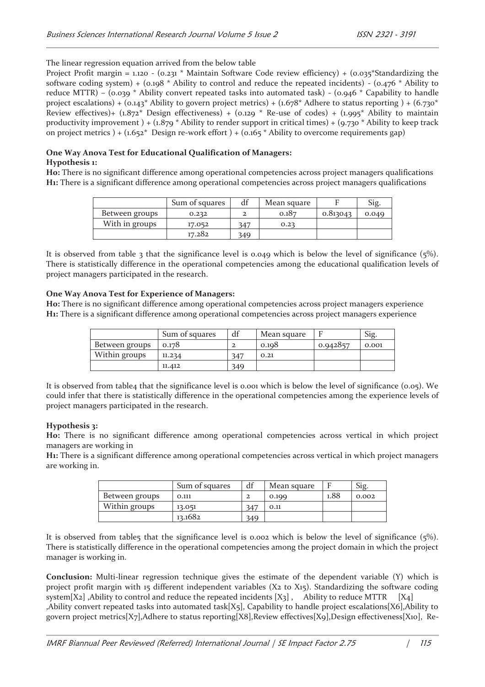The linear regression equation arrived from the below table

Project Profit margin = 1.120 - (0.231 \* Maintain Software Code review efficiency) + (0.035 \* Standardizing the software coding system) + (0.198 \* Ability to control and reduce the repeated incidents) - (0.476 \* Ability to reduce MTTR) – (0.039  $*$  Ability convert repeated tasks into automated task) - (0.946  $*$  Capability to handle project escalations) +  $(0.143^*$  Ability to govern project metrics) +  $(1.678^*$  Adhere to status reporting) +  $(6.730^*$ Review effectives)+  $(1.872^*$  Design effectiveness) +  $(0.129 *$  Re-use of codes) +  $(1.995 *$  Ability to maintain productivity improvement  $) + (1.879 *$  Ability to render support in critical times) +  $(9.730 *$  Ability to keep track on project metrics ) +  $(1.652^*$  Design re-work effort ) +  $(0.165^*$  Ability to overcome requirements gap)

#### **One Way Anova Test for Educational Qualification of Managers: Hypothesis 1:**

**H0:** There is no significant difference among operational competencies across project managers qualifications **H1:** There is a significant difference among operational competencies across project managers qualifications

|                | Sum of squares | df  | Mean square |          | Sig   |
|----------------|----------------|-----|-------------|----------|-------|
| Between groups | 0.232          |     | 0.187       | 0.813043 | 0.049 |
| With in groups | 17.052         | 347 | 0.23        |          |       |
|                | 17.282         | 349 |             |          |       |

It is observed from table 3 that the significance level is 0.049 which is below the level of significance (5%). There is statistically difference in the operational competencies among the educational qualification levels of project managers participated in the research.

## **One Way Anova Test for Experience of Managers:**

**H0:** There is no significant difference among operational competencies across project managers experience **H1:** There is a significant difference among operational competencies across project managers experience

|                | Sum of squares | df  | Mean square |          | Sig.  |
|----------------|----------------|-----|-------------|----------|-------|
| Between groups | 0.178          |     | 0.108       | 0.942857 | 0.001 |
| Within groups  | 11.234         | 347 | 0.21        |          |       |
|                | 11.412         | 349 |             |          |       |

It is observed from table4 that the significance level is 0.001 which is below the level of significance (0.05). We could infer that there is statistically difference in the operational competencies among the experience levels of project managers participated in the research.

## **Hypothesis 3:**

**H0:** There is no significant difference among operational competencies across vertical in which project managers are working in

**H1:** There is a significant difference among operational competencies across vertical in which project managers are working in.

|                | Sum of squares | df  | Mean square |      | Sig.  |
|----------------|----------------|-----|-------------|------|-------|
| Between groups | 0.111          |     | 0.199       | 1.88 | 0.002 |
| Within groups  | 13.051         | 347 | 0.11        |      |       |
|                | 13.1682        | 349 |             |      |       |

It is observed from table5 that the significance level is 0.002 which is below the level of significance  $(5\%)$ . There is statistically difference in the operational competencies among the project domain in which the project manager is working in.

**Conclusion:** Multi-linear regression technique gives the estimate of the dependent variable (Y) which is project profit margin with 15 different independent variables ( $X_2$  to  $X_1$ 5). Standardizing the software coding system[X2] ,Ability to control and reduce the repeated incidents  $[X_3]$  , Ability to reduce MTTR  $[X_4]$ ,Ability convert repeated tasks into automated task[X5], Capability to handle project escalations[X6],Ability to govern project metrics[X7],Adhere to status reporting[X8],Review effectives[X9],Design effectiveness[X10], Re